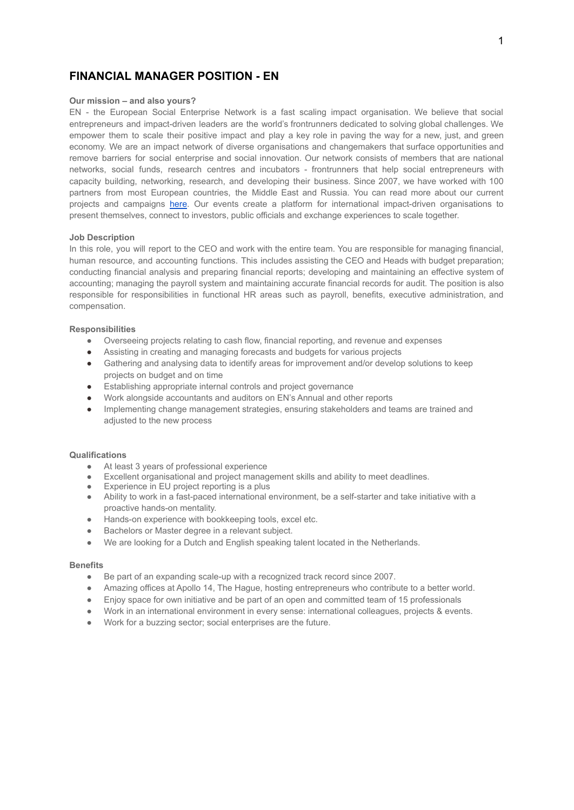# **FINANCIAL MANAGER POSITION - EN**

# **Our mission – and also yours?**

EN - the European Social Enterprise Network is a fast scaling impact organisation. We believe that social entrepreneurs and impact-driven leaders are the world's frontrunners dedicated to solving global challenges. We empower them to scale their positive impact and play a key role in paving the way for a new, just, and green economy. We are an impact network of diverse organisations and changemakers that surface opportunities and remove barriers for social enterprise and social innovation. Our network consists of members that are national networks, social funds, research centres and incubators - frontrunners that help social entrepreneurs with capacity building, networking, research, and developing their business. Since 2007, we have worked with 100 partners from most European countries, the Middle East and Russia. You can read more about our current projects and campaigns [here](https://euclidnetwork.eu/our-actions/). Our events create a platform for international impact-driven organisations to present themselves, connect to investors, public officials and exchange experiences to scale together.

#### **Job Description**

In this role, you will report to the CEO and work with the entire team. You are responsible for managing financial, human resource, and accounting functions. This includes assisting the CEO and Heads with budget preparation; conducting financial analysis and preparing financial reports; developing and maintaining an effective system of accounting; managing the payroll system and maintaining accurate financial records for audit. The position is also responsible for responsibilities in functional HR areas such as payroll, benefits, executive administration, and compensation.

#### **Responsibilities**

- Overseeing projects relating to cash flow, financial reporting, and revenue and expenses
- Assisting in creating and managing forecasts and budgets for various projects
- Gathering and analysing data to identify areas for improvement and/or develop solutions to keep projects on budget and on time
- Establishing appropriate internal controls and project governance
- Work alongside accountants and auditors on EN's Annual and other reports
- Implementing change management strategies, ensuring stakeholders and teams are trained and adjusted to the new process

## **Qualifications**

- At least 3 years of professional experience
- Excellent organisational and project management skills and ability to meet deadlines.
- Experience in EU project reporting is a plus
- Ability to work in a fast-paced international environment, be a self-starter and take initiative with a proactive hands-on mentality.
- Hands-on experience with bookkeeping tools, excel etc.
- Bachelors or Master degree in a relevant subject.
- We are looking for a Dutch and English speaking talent located in the Netherlands.

#### **Benefits**

- Be part of an expanding scale-up with a recognized track record since 2007.
- Amazing offices at Apollo 14, The Hague, hosting entrepreneurs who contribute to a better world.
- Enjoy space for own initiative and be part of an open and committed team of 15 professionals
- Work in an international environment in every sense: international colleagues, projects & events.
- Work for a buzzing sector; social enterprises are the future.